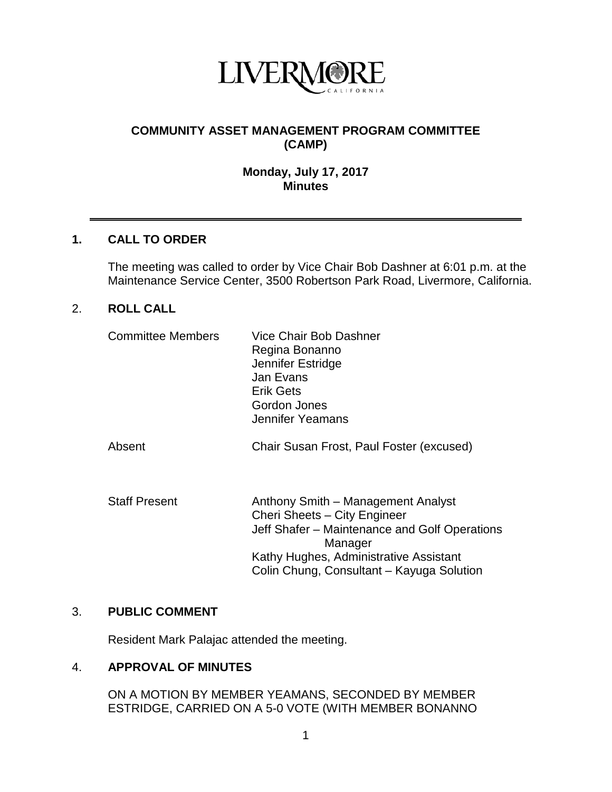

### **COMMUNITY ASSET MANAGEMENT PROGRAM COMMITTEE (CAMP)**

#### **Monday, July 17, 2017 Minutes**

#### **1. CALL TO ORDER**

The meeting was called to order by Vice Chair Bob Dashner at 6:01 p.m. at the Maintenance Service Center, 3500 Robertson Park Road, Livermore, California.

#### 2. **ROLL CALL**

| <b>Committee Members</b> | Vice Chair Bob Dashner<br>Regina Bonanno<br>Jennifer Estridge<br>Jan Evans<br><b>Erik Gets</b><br>Gordon Jones<br>Jennifer Yeamans                                                                                    |
|--------------------------|-----------------------------------------------------------------------------------------------------------------------------------------------------------------------------------------------------------------------|
| Absent                   | Chair Susan Frost, Paul Foster (excused)                                                                                                                                                                              |
| <b>Staff Present</b>     | Anthony Smith – Management Analyst<br>Cheri Sheets - City Engineer<br>Jeff Shafer - Maintenance and Golf Operations<br>Manager<br>Kathy Hughes, Administrative Assistant<br>Colin Chung, Consultant - Kayuga Solution |

#### 3. **PUBLIC COMMENT**

Resident Mark Palajac attended the meeting.

#### 4. **APPROVAL OF MINUTES**

ON A MOTION BY MEMBER YEAMANS, SECONDED BY MEMBER ESTRIDGE, CARRIED ON A 5-0 VOTE (WITH MEMBER BONANNO